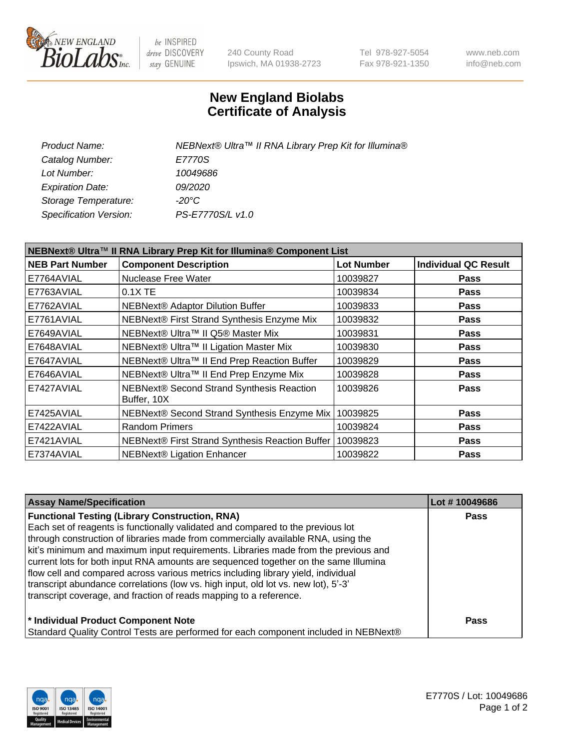

be INSPIRED drive DISCOVERY stay GENUINE

240 County Road Ipswich, MA 01938-2723 Tel 978-927-5054 Fax 978-921-1350 www.neb.com info@neb.com

## **New England Biolabs Certificate of Analysis**

| Product Name:           | NEBNext® Ultra™ II RNA Library Prep Kit for Illumina® |
|-------------------------|-------------------------------------------------------|
| Catalog Number:         | E7770S                                                |
| Lot Number:             | 10049686                                              |
| <b>Expiration Date:</b> | <i>09/2020</i>                                        |
| Storage Temperature:    | -20°C                                                 |
| Specification Version:  | PS-E7770S/L v1.0                                      |

| NEBNext® Ultra™ II RNA Library Prep Kit for Illumina® Component List |                                                          |                   |                             |  |
|----------------------------------------------------------------------|----------------------------------------------------------|-------------------|-----------------------------|--|
| <b>NEB Part Number</b>                                               | <b>Component Description</b>                             | <b>Lot Number</b> | <b>Individual QC Result</b> |  |
| E7764AVIAL                                                           | Nuclease Free Water                                      | 10039827          | <b>Pass</b>                 |  |
| E7763AVIAL                                                           | $0.1X$ TE                                                | 10039834          | <b>Pass</b>                 |  |
| E7762AVIAL                                                           | <b>NEBNext® Adaptor Dilution Buffer</b>                  | 10039833          | <b>Pass</b>                 |  |
| E7761AVIAL                                                           | NEBNext® First Strand Synthesis Enzyme Mix               | 10039832          | <b>Pass</b>                 |  |
| E7649AVIAL                                                           | NEBNext® Ultra™ II Q5® Master Mix                        | 10039831          | <b>Pass</b>                 |  |
| E7648AVIAL                                                           | NEBNext® Ultra™ II Ligation Master Mix                   | 10039830          | <b>Pass</b>                 |  |
| E7647AVIAL                                                           | NEBNext® Ultra™ II End Prep Reaction Buffer              | 10039829          | Pass                        |  |
| E7646AVIAL                                                           | NEBNext® Ultra™ II End Prep Enzyme Mix                   | 10039828          | <b>Pass</b>                 |  |
| E7427AVIAL                                                           | NEBNext® Second Strand Synthesis Reaction<br>Buffer, 10X | 10039826          | <b>Pass</b>                 |  |
| E7425AVIAL                                                           | NEBNext® Second Strand Synthesis Enzyme Mix              | 10039825          | <b>Pass</b>                 |  |
| E7422AVIAL                                                           | <b>Random Primers</b>                                    | 10039824          | <b>Pass</b>                 |  |
| E7421AVIAL                                                           | NEBNext® First Strand Synthesis Reaction Buffer          | 10039823          | <b>Pass</b>                 |  |
| E7374AVIAL                                                           | <b>NEBNext® Ligation Enhancer</b>                        | 10039822          | <b>Pass</b>                 |  |

| <b>Assay Name/Specification</b>                                                      | Lot #10049686 |
|--------------------------------------------------------------------------------------|---------------|
| <b>Functional Testing (Library Construction, RNA)</b>                                | <b>Pass</b>   |
| Each set of reagents is functionally validated and compared to the previous lot      |               |
| through construction of libraries made from commercially available RNA, using the    |               |
| kit's minimum and maximum input requirements. Libraries made from the previous and   |               |
| current lots for both input RNA amounts are sequenced together on the same Illumina  |               |
| flow cell and compared across various metrics including library yield, individual    |               |
| transcript abundance correlations (low vs. high input, old lot vs. new lot), 5'-3'   |               |
| transcript coverage, and fraction of reads mapping to a reference.                   |               |
| * Individual Product Component Note                                                  | Pass          |
| Standard Quality Control Tests are performed for each component included in NEBNext® |               |